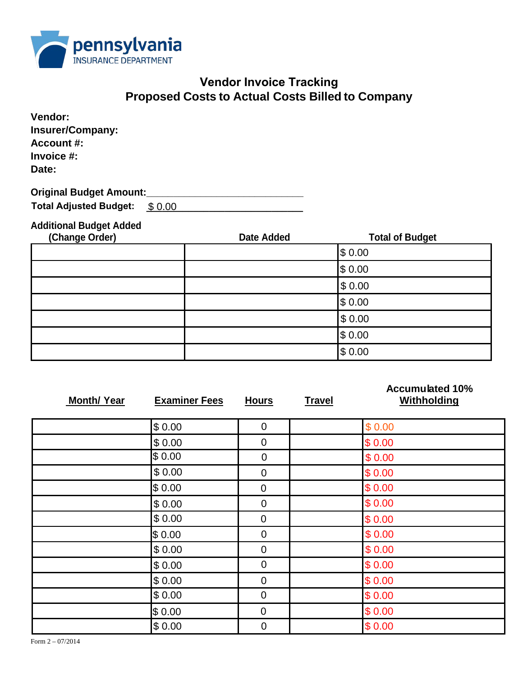

## **Vendor Invoice Tracking Proposed Costs to Actual Costs Billed to Company**

| Vendor:<br><b>Insurer/Company:</b><br><b>Account #:</b><br>Invoice #:<br>Date: |        |  |
|--------------------------------------------------------------------------------|--------|--|
| <b>Original Budget Amount:</b>                                                 |        |  |
| <b>Total Adjusted Budget:</b>                                                  | \$0.00 |  |
| <b>Additional Budget Added</b>                                                 |        |  |

## **(Change Order) Date Added Total of Budget** \$ 0.00 \$ 0.00 \$ 0.00 \$ 0.00 \$ 0.00 \$ 0.00

|                    |                      | \$0.00         |               |                                              |
|--------------------|----------------------|----------------|---------------|----------------------------------------------|
| <b>Month/ Year</b> | <b>Examiner Fees</b> | <b>Hours</b>   | <b>Travel</b> | <b>Accumulated 10%</b><br><b>Withholding</b> |
|                    | \$0.00               | $\overline{0}$ |               | \$0.00                                       |
|                    | \$0.00               | $\mathbf 0$    |               | \$0.00                                       |
|                    | \$0.00               | $\mathbf 0$    |               | \$0.00                                       |
|                    | \$0.00               | $\mathbf 0$    |               | \$0.00                                       |
|                    | \$0.00               | $\mathbf 0$    |               | \$0.00                                       |
|                    | \$0.00               | $\mathbf 0$    |               | \$0.00                                       |
|                    | \$0.00               | $\mathbf 0$    |               | \$0.00                                       |
|                    | \$0.00               | $\mathbf 0$    |               | \$0.00                                       |
|                    | \$0.00               | $\mathbf 0$    |               | \$0.00                                       |
|                    | \$0.00               | $\mathbf 0$    |               | \$0.00                                       |
|                    | \$0.00               | $\overline{0}$ |               | \$0.00                                       |
|                    | \$0.00               | $\mathbf 0$    |               | \$0.00                                       |
|                    | \$0.00               | $\mathbf 0$    |               | \$0.00                                       |
|                    | \$0.00               | $\mathbf 0$    |               | \$0.00                                       |